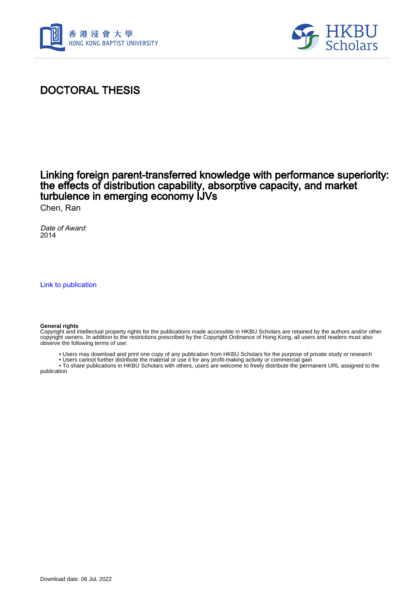



# DOCTORAL THESIS

# Linking foreign parent-transferred knowledge with performance superiority: the effects of distribution capability, absorptive capacity, and market turbulence in emerging economy IJVs

Chen, Ran

Date of Award: 2014

[Link to publication](https://scholars.hkbu.edu.hk/en/studentTheses/f98f524d-8158-4843-bbae-d182ab3aa31b)

#### **General rights**

Copyright and intellectual property rights for the publications made accessible in HKBU Scholars are retained by the authors and/or other copyright owners. In addition to the restrictions prescribed by the Copyright Ordinance of Hong Kong, all users and readers must also observe the following terms of use:

• Users may download and print one copy of any publication from HKBU Scholars for the purpose of private study or research

 • Users cannot further distribute the material or use it for any profit-making activity or commercial gain • To share publications in HKBU Scholars with others, users are welcome to freely distribute the permanent URL assigned to the

publication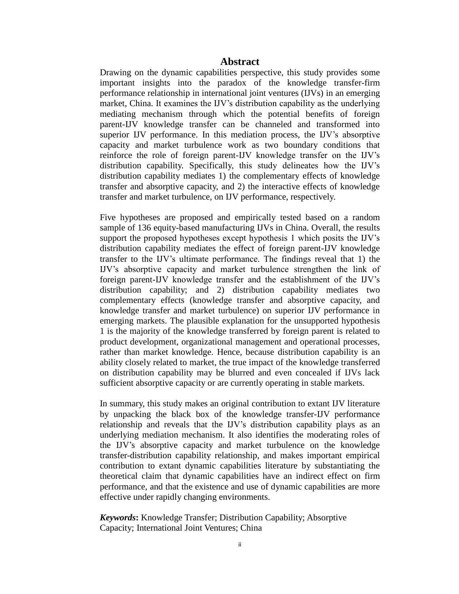#### **Abstract**

Drawing on the dynamic capabilities perspective, this study provides some important insights into the paradox of the knowledge transfer-firm performance relationship in international joint ventures (IJVs) in an emerging market, China. It examines the IJV's distribution capability as the underlying mediating mechanism through which the potential benefits of foreign parent-IJV knowledge transfer can be channeled and transformed into superior IJV performance. In this mediation process, the IJV's absorptive capacity and market turbulence work as two boundary conditions that reinforce the role of foreign parent-IJV knowledge transfer on the IJV's distribution capability. Specifically, this study delineates how the IJV's distribution capability mediates 1) the complementary effects of knowledge transfer and absorptive capacity, and 2) the interactive effects of knowledge transfer and market turbulence, on IJV performance, respectively.

Five hypotheses are proposed and empirically tested based on a random sample of 136 equity-based manufacturing IJVs in China. Overall, the results support the proposed hypotheses except hypothesis 1 which posits the IJV's distribution capability mediates the effect of foreign parent-IJV knowledge transfer to the IJV's ultimate performance. The findings reveal that 1) the IJV's absorptive capacity and market turbulence strengthen the link of foreign parent-IJV knowledge transfer and the establishment of the IJV's distribution capability; and 2) distribution capability mediates two complementary effects (knowledge transfer and absorptive capacity, and knowledge transfer and market turbulence) on superior IJV performance in emerging markets. The plausible explanation for the unsupported hypothesis 1 is the majority of the knowledge transferred by foreign parent is related to product development, organizational management and operational processes, rather than market knowledge. Hence, because distribution capability is an ability closely related to market, the true impact of the knowledge transferred on distribution capability may be blurred and even concealed if IJVs lack sufficient absorptive capacity or are currently operating in stable markets.

In summary, this study makes an original contribution to extant IJV literature by unpacking the black box of the knowledge transfer-IJV performance relationship and reveals that the IJV's distribution capability plays as an underlying mediation mechanism. It also identifies the moderating roles of the IJV's absorptive capacity and market turbulence on the knowledge transfer-distribution capability relationship, and makes important empirical contribution to extant dynamic capabilities literature by substantiating the theoretical claim that dynamic capabilities have an indirect effect on firm performance, and that the existence and use of dynamic capabilities are more effective under rapidly changing environments.

*Keywords***:** Knowledge Transfer; Distribution Capability; Absorptive Capacity; International Joint Ventures; China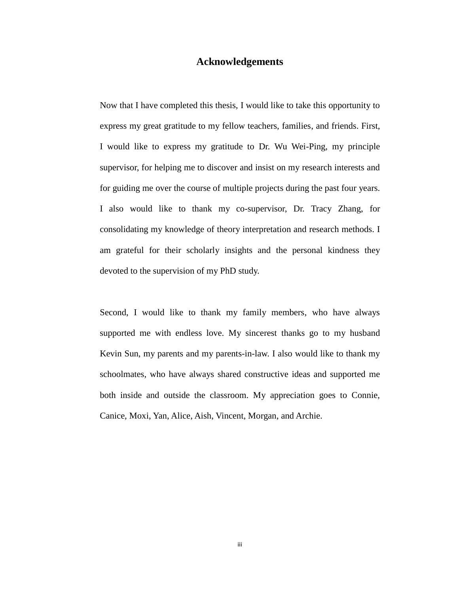### **Acknowledgements**

Now that I have completed this thesis, I would like to take this opportunity to express my great gratitude to my fellow teachers, families, and friends. First, I would like to express my gratitude to Dr. Wu Wei-Ping, my principle supervisor, for helping me to discover and insist on my research interests and for guiding me over the course of multiple projects during the past four years. I also would like to thank my co-supervisor, Dr. Tracy Zhang, for consolidating my knowledge of theory interpretation and research methods. I am grateful for their scholarly insights and the personal kindness they devoted to the supervision of my PhD study.

Second, I would like to thank my family members, who have always supported me with endless love. My sincerest thanks go to my husband Kevin Sun, my parents and my parents-in-law. I also would like to thank my schoolmates, who have always shared constructive ideas and supported me both inside and outside the classroom. My appreciation goes to Connie, Canice, Moxi, Yan, Alice, Aish, Vincent, Morgan, and Archie.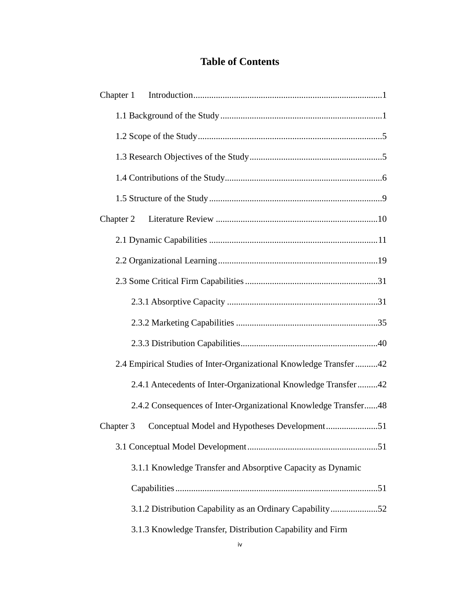## **Table of Contents**

| Chapter 1                                                           |
|---------------------------------------------------------------------|
|                                                                     |
|                                                                     |
|                                                                     |
|                                                                     |
|                                                                     |
| Chapter 2                                                           |
|                                                                     |
|                                                                     |
|                                                                     |
|                                                                     |
|                                                                     |
|                                                                     |
| 2.4 Empirical Studies of Inter-Organizational Knowledge Transfer 42 |
| 2.4.1 Antecedents of Inter-Organizational Knowledge Transfer42      |
| 2.4.2 Consequences of Inter-Organizational Knowledge Transfer48     |
| Chapter 3 Conceptual Model and Hypotheses Development51             |
|                                                                     |
| 3.1.1 Knowledge Transfer and Absorptive Capacity as Dynamic         |
|                                                                     |
| 3.1.2 Distribution Capability as an Ordinary Capability52           |
| 3.1.3 Knowledge Transfer, Distribution Capability and Firm          |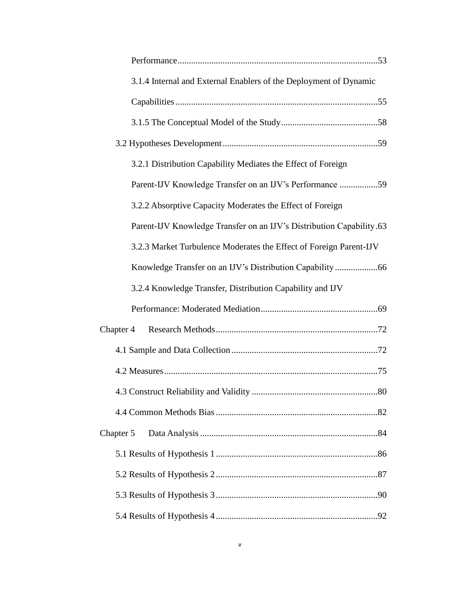| 3.1.4 Internal and External Enablers of the Deployment of Dynamic    |
|----------------------------------------------------------------------|
|                                                                      |
|                                                                      |
|                                                                      |
| 3.2.1 Distribution Capability Mediates the Effect of Foreign         |
| Parent-IJV Knowledge Transfer on an IJV's Performance 59             |
| 3.2.2 Absorptive Capacity Moderates the Effect of Foreign            |
| Parent-IJV Knowledge Transfer on an IJV's Distribution Capability.63 |
| 3.2.3 Market Turbulence Moderates the Effect of Foreign Parent-IJV   |
|                                                                      |
| 3.2.4 Knowledge Transfer, Distribution Capability and IJV            |
|                                                                      |
| Chapter 4                                                            |
|                                                                      |
|                                                                      |
|                                                                      |
|                                                                      |
| Chapter 5                                                            |
|                                                                      |
|                                                                      |
|                                                                      |
|                                                                      |